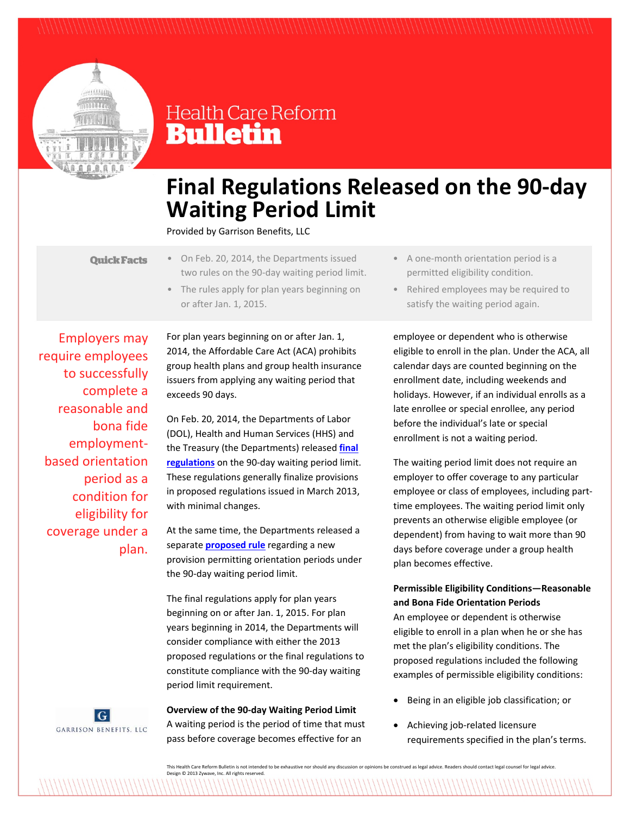

# **Health Care Reform Bulletin**

# **Final Regulations Released on the 90‐day Waiting Period Limit**

Provided by Garrison Benefits, LLC

- **Quick Facts**
- On Feb. 20, 2014, the Departments issued two rules on the 90‐day waiting period limit.
- The rules apply for plan years beginning on or after Jan. 1, 2015.

Employers may require employees to successfully complete a reasonable and bona fide employment‐ based orientation period as a condition for eligibility for coverage under a plan.

For plan years beginning on or after Jan. 1, 2014, the Affordable Care Act (ACA) prohibits group health plans and group health insurance issuers from applying any waiting period that exceeds 90 days.

On Feb. 20, 2014, the Departments of Labor (DOL), Health and Human Services (HHS) and the Treasury (the Departments) released **final regulations** on the 90‐day waiting period limit. These regulations generally finalize provisions in proposed regulations issued in March 2013, with minimal changes.

At the same time, the Departments released a separate **proposed rule** regarding a new provision permitting orientation periods under the 90‐day waiting period limit.

The final regulations apply for plan years beginning on or after Jan. 1, 2015. For plan years beginning in 2014, the Departments will consider compliance with either the 2013 proposed regulations or the final regulations to constitute compliance with the 90‐day waiting period limit requirement.

### **Overview of the 90‐day Waiting Period Limit**

 $|G|$ GARRISON BENEFITS, LLC

A waiting period is the period of time that must pass before coverage becomes effective for an

- A one‐month orientation period is a permitted eligibility condition.
- Rehired employees may be required to satisfy the waiting period again.

employee or dependent who is otherwise eligible to enroll in the plan. Under the ACA, all calendar days are counted beginning on the enrollment date, including weekends and holidays. However, if an individual enrolls as a late enrollee or special enrollee, any period before the individual's late or special enrollment is not a waiting period.

The waiting period limit does not require an employer to offer coverage to any particular employee or class of employees, including part‐ time employees. The waiting period limit only prevents an otherwise eligible employee (or dependent) from having to wait more than 90 days before coverage under a group health plan becomes effective.

# **Permissible Eligibility Conditions—Reasonable and Bona Fide Orientation Periods**

An employee or dependent is otherwise eligible to enroll in a plan when he or she has met the plan's eligibility conditions. The proposed regulations included the following examples of permissible eligibility conditions:

- Being in an eligible job classification; or
- Achieving job‐related licensure requirements specified in the plan's terms.

This Health Care Reform Bulletin is not intended to be exhaustive nor should any discussion or opinions be construed as legal advice. Readers should contact legal counsel for legal advice. Design © 2013 Zywave, Inc. All rights reserved.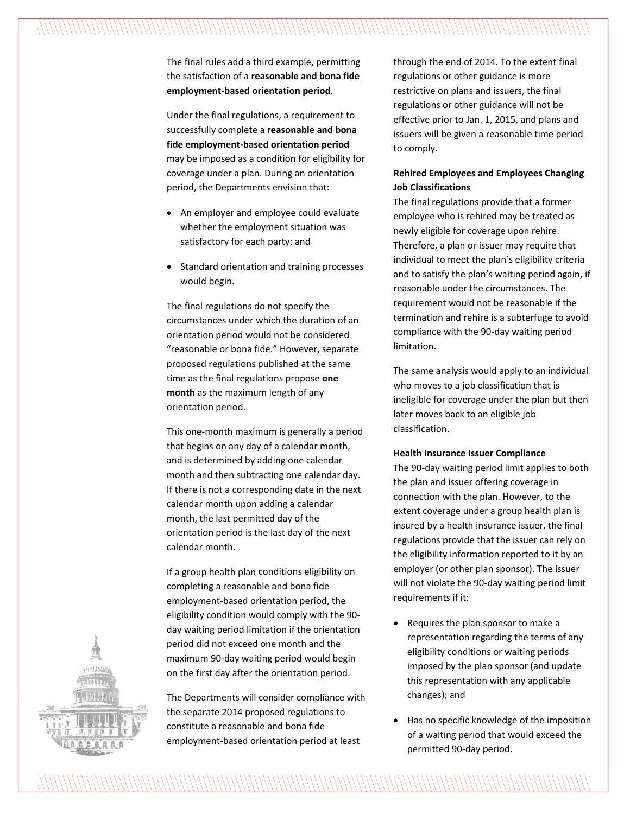The final rules add a third example, permitting the satisfaction of a **reasonable and bona fide employment‐based orientation period**.

Under the final regulations, a requirement to successfully complete a **reasonable and bona fide employment‐based orientation period** may be imposed as a condition for eligibility for coverage under a plan. During an orientation period, the Departments envision that:

- An employer and employee could evaluate whether the employment situation was satisfactory for each party; and
- Standard orientation and training processes would begin.

The final regulations do not specify the circumstances under which the duration of an orientation period would not be considered "reasonable or bona fide." However, separate proposed regulations published at the same time as the final regulations propose **one month** as the maximum length of any orientation period.

This one‐month maximum is generally a period that begins on any day of a calendar month, and is determined by adding one calendar month and then subtracting one calendar day. If there is not a corresponding date in the next calendar month upon adding a calendar month, the last permitted day of the orientation period is the last day of the next calendar month.

If a group health plan conditions eligibility on completing a reasonable and bona fide employment‐based orientation period, the eligibility condition would comply with the 90‐ day waiting period limitation if the orientation period did not exceed one month and the maximum 90‐day waiting period would begin on the first day after the orientation period.

The Departments will consider compliance with the separate 2014 proposed regulations to constitute a reasonable and bona fide employment‐based orientation period at least

through the end of 2014. To the extent final regulations or other guidance is more restrictive on plans and issuers, the final regulations or other guidance will not be effective prior to Jan. 1, 2015, and plans and issuers will be given a reasonable time period to comply.

## **Rehired Employees and Employees Changing Job Classifications**

The final regulations provide that a former employee who is rehired may be treated as newly eligible for coverage upon rehire. Therefore, a plan or issuer may require that individual to meet the plan's eligibility criteria and to satisfy the plan's waiting period again, if reasonable under the circumstances. The requirement would not be reasonable if the termination and rehire is a subterfuge to avoid compliance with the 90‐day waiting period limitation.

The same analysis would apply to an individual who moves to a job classification that is ineligible for coverage under the plan but then later moves back to an eligible job classification.

### **Health Insurance Issuer Compliance**

The 90‐day waiting period limit applies to both the plan and issuer offering coverage in connection with the plan. However, to the extent coverage under a group health plan is insured by a health insurance issuer, the final regulations provide that the issuer can rely on the eligibility information reported to it by an employer (or other plan sponsor). The issuer will not violate the 90-day waiting period limit requirements if it:

- Requires the plan sponsor to make a representation regarding the terms of any eligibility conditions or waiting periods imposed by the plan sponsor (and update this representation with any applicable changes); and
- Has no specific knowledge of the imposition of a waiting period that would exceed the permitted 90‐day period.